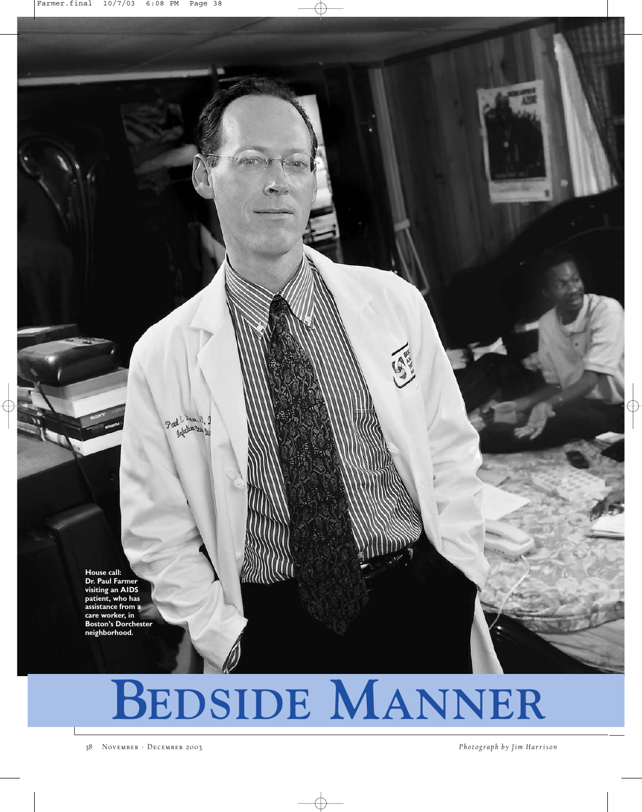

Paul L. Jass. J. J

## **BEDSIDE MANNER**

SHA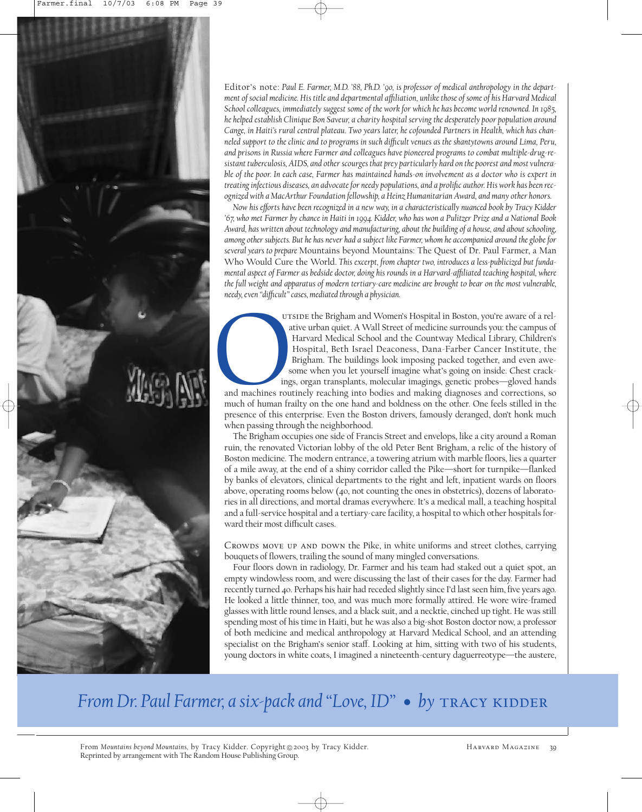

Editor's note: *Paul E. Farmer, M.D. '88, Ph.D. '90, is professor of medical anthropology in the department of social medicine. His title and departmental affiliation, unlike those of some of his Harvard Medical School colleagues, immediately suggest some of the work for which he has become world renowned. In 1985, he helped establish Clinique Bon Saveur, a charity hospital serving the desperately poor population around Cange, in Haiti's rural central plateau. Two years later, he cofounded Partners in Health, which has channeled support to the clinic and to programs in such difficult venues as the shantytowns around Lima, Peru, and prisons in Russia where Farmer and colleagues have pioneered programs to combat multiple-drug-resistant tuberculosis, AIDS, and other scourges that prey particularly hard on the poorest and most vulnerable of the poor. In each case, Farmer has maintained hands-on involvement as a doctor who is expert in treating infectious diseases, an advocate for needy populations, and a prolific author. His work has been recognized with a MacArthur Foundation fellowship, a Heinz Humanitarian Award, and many other honors.*

*Now his e≠orts have been recognized in a new way, in a characteristically nuanced book by Tracy Kidder '67, who met Farmer by chance in Haiti in 1994. Kidder, who has won a Pulitzer Prize and a National Book Award, has written about technology and manufacturing, about the building of a house, and about schooling, among other subjects. But he has never had a subject like Farmer, whom he accompanied around the globe for several years to prepare* Mountains beyond Mountains: The Quest of Dr. Paul Farmer, a Man Who Would Cure the World. *This excerpt, from chapter two, introduces a less-publicized but fundamental aspect of Farmer as bedside doctor, doing his rounds in a Harvard-affiliated teaching hospital, where the full weight and apparatus of modern tertiary-care medicine are brought to bear on the most vulnerable, needy, even "di∞cult" cases, mediated through a physician.* the Juli weight and approach the procedy, even "difficult"

utside the Brigham and Women's Hospital in Boston, you're aware of a relative urban quiet. A Wall Street of medicine surrounds you: the campus of Harvard Medical School and the Countway Medical Library, Children's Hospital, Beth Israel Deaconess, Dana-Farber Cancer Institute, the Brigham. The buildings look imposing packed together, and even awesome when you let yourself imagine what's going on inside. Chest crackings, organ transplants, molecular imagings, genetic probes—gloved hands

and machines routinely reaching into bodies and making diagnoses and corrections, so much of human frailty on the one hand and boldness on the other. One feels stilled in the presence of this enterprise. Even the Boston drivers, famously deranged, don't honk much when passing through the neighborhood.

The Brigham occupies one side of Francis Street and envelops, like a city around a Roman ruin, the renovated Victorian lobby of the old Peter Bent Brigham, a relic of the history of Boston medicine. The modern entrance, a towering atrium with marble floors, lies a quarter of a mile away, at the end of a shiny corridor called the Pike—short for turnpike—flanked by banks of elevators, clinical departments to the right and left, inpatient wards on floors above, operating rooms below (40, not counting the ones in obstetrics), dozens of laboratories in all directions, and mortal dramas everywhere. It's a medical mall, a teaching hospital and a full-service hospital and a tertiary-care facility, a hospital to which other hospitals forward their most difficult cases.

CROWDS MOVE UP AND DOWN the Pike, in white uniforms and street clothes, carrying bouquets of flowers, trailing the sound of many mingled conversations.

Four floors down in radiology, Dr. Farmer and his team had staked out a quiet spot, an empty windowless room, and were discussing the last of their cases for the day. Farmer had recently turned 40. Perhaps his hair had receded slightly since I'd last seen him, five years ago. He looked a little thinner, too, and was much more formally attired. He wore wire-framed glasses with little round lenses, and a black suit, and a necktie, cinched up tight. He was still spending most of his time in Haiti, but he was also a big-shot Boston doctor now, a professor of both medicine and medical anthropology at Harvard Medical School, and an attending specialist on the Brigham's senior staff. Looking at him, sitting with two of his students, young doctors in white coats, I imagined a nineteenth-century daguerreotype—the austere,

## *From Dr. Paul Farmer, a six-pack and "Love, ID"* • by TRACY KIDDER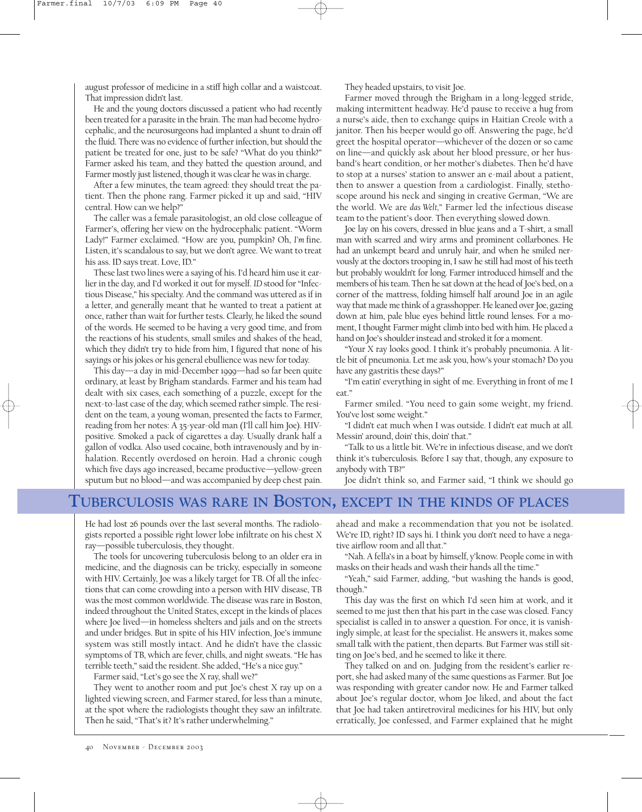august professor of medicine in a stiff high collar and a waistcoat. That impression didn't last.

He and the young doctors discussed a patient who had recently been treated for a parasite in the brain. The man had become hydrocephalic, and the neurosurgeons had implanted a shunt to drain off the fluid. There was no evidence of further infection, but should the patient be treated for one, just to be safe? "What do you think?" Farmer asked his team, and they batted the question around, and Farmer mostly just listened, though it was clear he was in charge.

After a few minutes, the team agreed: they should treat the patient. Then the phone rang. Farmer picked it up and said, "HIV central. How can we help?"

The caller was a female parasitologist, an old close colleague of Farmer's, offering her view on the hydrocephalic patient. "Worm Lady!" Farmer exclaimed. "How are you, pumpkin? Oh, *I'm* fine. Listen, it's scandalous to say, but we don't agree. We want to treat his ass. ID says treat. Love, ID."

These last two lines were a saying of his. I'd heard him use it earlier in the day, and I'd worked it out for myself. *ID* stood for "Infectious Disease," his specialty. And the command was uttered as if in a letter, and generally meant that he wanted to treat a patient at once, rather than wait for further tests. Clearly, he liked the sound of the words. He seemed to be having a very good time, and from the reactions of his students, small smiles and shakes of the head, which they didn't try to hide from him, I figured that none of his sayings or his jokes or his general ebullience was new for today.

This day—a day in mid-December 1999—had so far been quite ordinary, at least by Brigham standards. Farmer and his team had dealt with six cases, each something of a puzzle, except for the next-to-last case of the day, which seemed rather simple. The resident on the team, a young woman, presented the facts to Farmer, reading from her notes: A 35-year-old man (I'll call him Joe). HIVpositive. Smoked a pack of cigarettes a day. Usually drank half a gallon of vodka. Also used cocaine, both intravenously and by inhalation. Recently overdosed on heroin. Had a chronic cough which five days ago increased, became productive—yellow-green sputum but no blood—and was accompanied by deep chest pain.

They headed upstairs, to visit Joe.

Farmer moved through the Brigham in a long-legged stride, making intermittent headway. He'd pause to receive a hug from a nurse's aide, then to exchange quips in Haitian Creole with a janitor. Then his beeper would go off. Answering the page, he'd greet the hospital operator—whichever of the dozen or so came on line—and quickly ask about her blood pressure, or her husband's heart condition, or her mother's diabetes. Then he'd have to stop at a nurses' station to answer an e-mail about a patient, then to answer a question from a cardiologist. Finally, stethoscope around his neck and singing in creative German, "We are the world. We are *das Welt,*" Farmer led the infectious disease team to the patient's door. Then everything slowed down.

Joe lay on his covers, dressed in blue jeans and a T-shirt, a small man with scarred and wiry arms and prominent collarbones. He had an unkempt beard and unruly hair, and when he smiled nervously at the doctors trooping in, I saw he still had most of his teeth but probably wouldn't for long. Farmer introduced himself and the members of his team. Then he sat down at the head of Joe's bed, on a corner of the mattress, folding himself half around Joe in an agile way that made me think of a grasshopper. He leaned over Joe, gazing down at him, pale blue eyes behind little round lenses. For a moment, I thought Farmer might climb into bed with him. He placed a hand on Joe's shoulder instead and stroked it for a moment.

"Your X ray looks good. I think it's probably pneumonia. A little bit of pneumonia. Let me ask you, how's your stomach? Do you have any gastritis these days?"

"I'm eatin' everything in sight of me. Everything in front of me I eat."

Farmer smiled. "You need to gain some weight, my friend. You've lost some weight."

"I didn't eat much when I was outside. I didn't eat much at all. Messin' around, doin' this, doin' that."

"Talk to us a little bit. We're in infectious disease, and we don't think it's tuberculosis. Before I say that, though, any exposure to anybody with TB?"

Joe didn't think so, and Farmer said, "I think we should go

## **TUBERCULOSIS WAS RARE IN BOSTON, EXCEPT IN THE KINDS OF PLACES**

He had lost 26 pounds over the last several months. The radiologists reported a possible right lower lobe infiltrate on his chest X ray—possible tuberculosis, they thought.

The tools for uncovering tuberculosis belong to an older era in medicine, and the diagnosis can be tricky, especially in someone with HIV. Certainly, Joe was a likely target for TB. Of all the infections that can come crowding into a person with HIV disease, TB was the most common worldwide. The disease was rare in Boston, indeed throughout the United States, except in the kinds of places where Joe lived—in homeless shelters and jails and on the streets and under bridges. But in spite of his HIV infection, Joe's immune system was still mostly intact. And he didn't have the classic symptoms of TB, which are fever, chills, and night sweats. "He has terrible teeth," said the resident. She added, "He's a nice guy."

Farmer said, "Let's go see the X ray, shall we?"

They went to another room and put Joe's chest X ray up on a lighted viewing screen, and Farmer stared, for less than a minute, at the spot where the radiologists thought they saw an infiltrate. Then he said, "That's it? It's rather underwhelming."

ahead and make a recommendation that you not be isolated. We're ID, right? ID says hi. I think you don't need to have a negative airflow room and all that."

"Nah. A fella's in a boat by himself, y'know. People come in with masks on their heads and wash their hands all the time."

"Yeah," said Farmer, adding, "but washing the hands is good, though."

This day was the first on which I'd seen him at work, and it seemed to me just then that his part in the case was closed. Fancy specialist is called in to answer a question. For once, it is vanishingly simple, at least for the specialist. He answers it, makes some small talk with the patient, then departs. But Farmer was still sitting on Joe's bed, and he seemed to like it there.

They talked on and on. Judging from the resident's earlier report, she had asked many of the same questions as Farmer. But Joe was responding with greater candor now. He and Farmer talked about Joe's regular doctor, whom Joe liked, and about the fact that Joe had taken antiretroviral medicines for his HIV, but only erratically, Joe confessed, and Farmer explained that he might